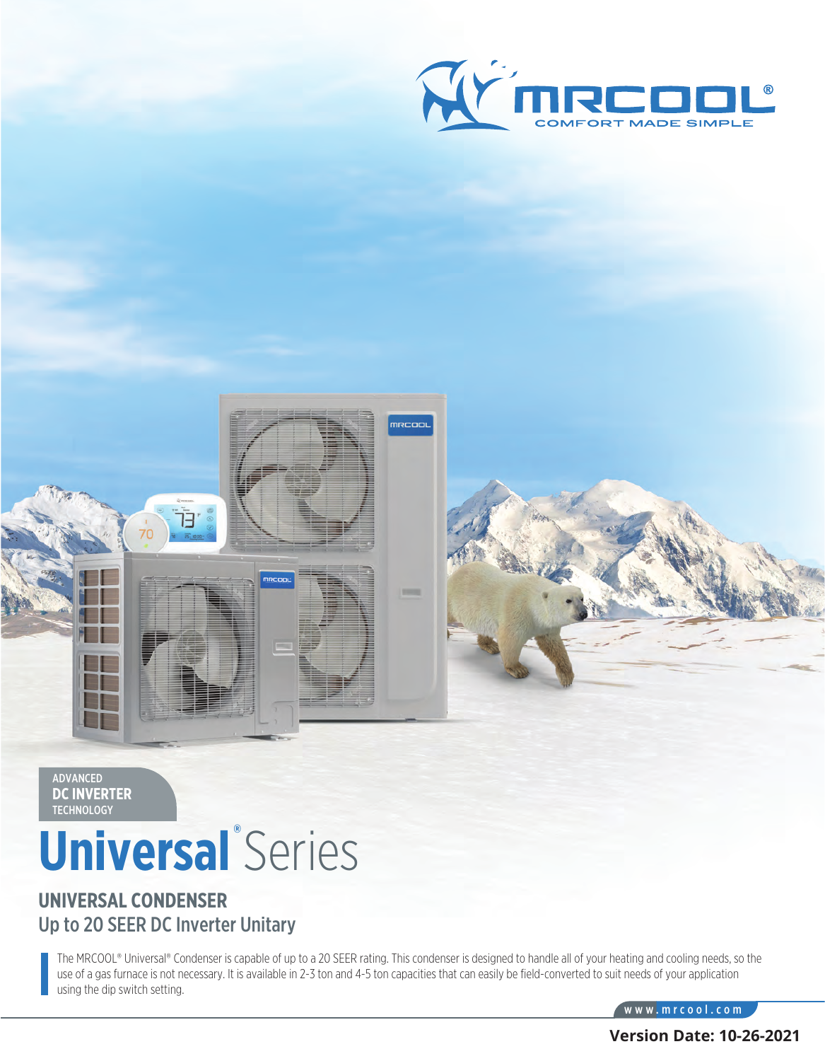



# **® Universal** Series

#### **UNIVERSAL CONDENSER** Up to 20 SEER DC Inverter Unitary

The MRCOOL® Universal® Condenser is capable of up to a 20 SEER rating. This condenser is designed to handle all of your heating and cooling needs, so the use of a gas furnace is not necessary. It is available in 2-3 ton and 4-5 ton capacities that can easily be field-converted to suit needs of your application using the dip switch setting.

mrcool

www.mrcool.com

**Version Date: 10-26-2021**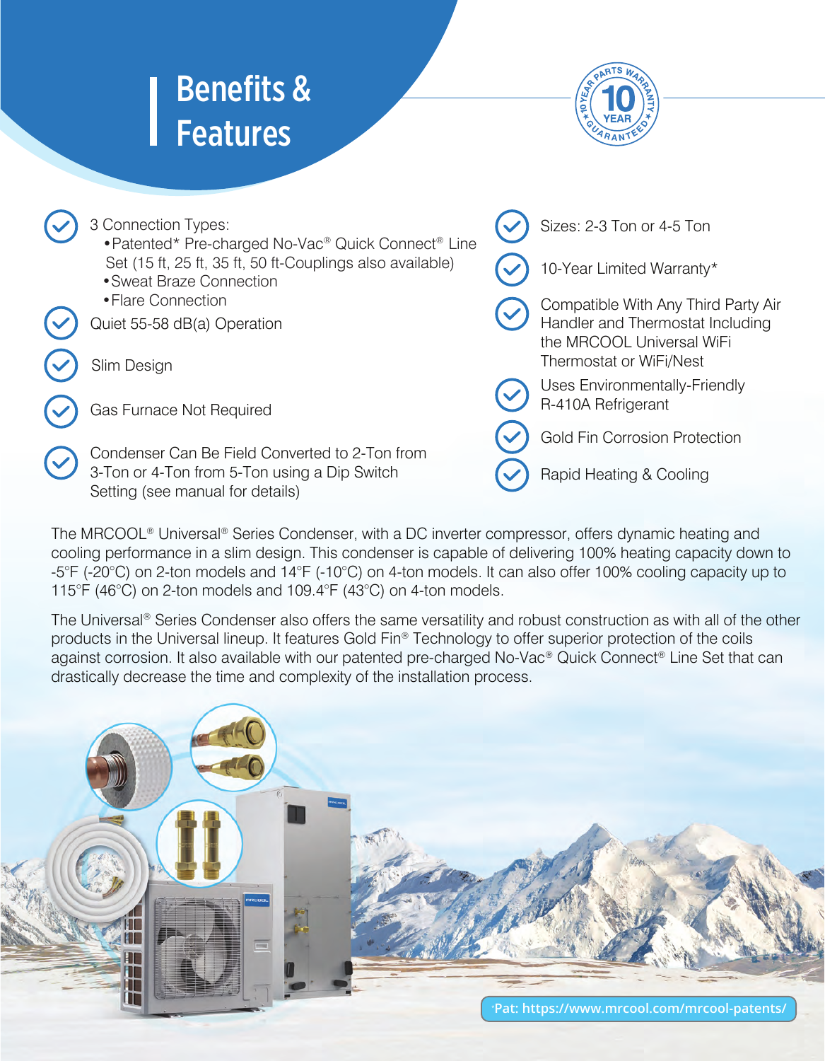## Benefits & Features

Setting (see manual for details)



Rapid Heating & Cooling

Sizes: 2-3 Ton or 4-5 Ton Compatible With Any Third Party Air Handler and Thermostat Including the MRCOOL Universal WiFi Thermostat or WiFi/Nest Uses Environmentally-Friendly R-410A Refrigerant Gold Fin Corrosion Protection Gas Furnace Not Required Slim Design 10-Year Limited Warranty\* 3 Connection Types: •Patented\* Pre-charged No-Vac® Quick Connect® Line Set (15 ft, 25 ft, 35 ft, 50 ft-Couplings also available) •Sweat Braze Connection •Flare Connection Quiet 55-58 dB(a) Operation Condenser Can Be Field Converted to 2-Ton from 3-Ton or 4-Ton from 5-Ton using a Dip Switch

 The MRCOOL® Universal® Series Condenser, with a DC inverter compressor, offers dynamic heating and cooling performance in a slim design. This condenser is capable of delivering 100% heating capacity down to -5°F (-20°C) on 2-ton models and 14°F (-10°C) on 4-ton models. It can also offer 100% cooling capacity up to 115°F (46°C) on 2-ton models and 109.4°F (43°C) on 4-ton models.

 The Universal® Series Condenser also offers the same versatility and robust construction as with all of the other products in the Universal lineup. It features Gold Fin® Technology to offer superior protection of the coils against corrosion. It also available with our patented pre-charged No-Vac® Quick Connect® Line Set that can drastically decrease the time and complexity of the installation process.

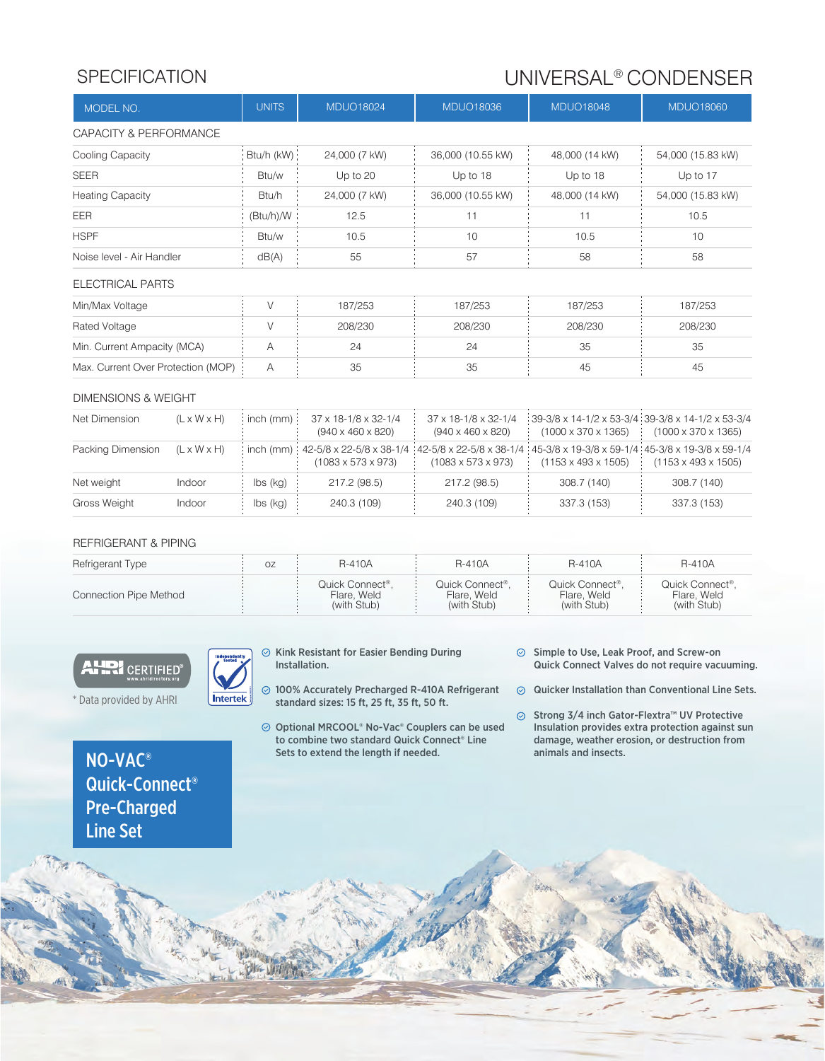### SPECIFICATION BEEN SPECIFICATION SPECIFICATION

| MODEL NO.                          |                         | <b>UNITS</b>              | <b>MDUO18024</b>                                      | <b>MDUO18036</b>                                                                                                                      | <b>MDUO18048</b>                                                                     | <b>MDUO18060</b>                |  |  |  |
|------------------------------------|-------------------------|---------------------------|-------------------------------------------------------|---------------------------------------------------------------------------------------------------------------------------------------|--------------------------------------------------------------------------------------|---------------------------------|--|--|--|
| CAPACITY & PERFORMANCE             |                         |                           |                                                       |                                                                                                                                       |                                                                                      |                                 |  |  |  |
| Cooling Capacity                   |                         | Btu/h (kW):               | 24,000 (7 kW)                                         | 36,000 (10.55 kW)                                                                                                                     | 48,000 (14 kW)                                                                       | 54,000 (15.83 kW)               |  |  |  |
| <b>SEER</b>                        |                         | Btu/w                     | Up to 20                                              | Up to 18                                                                                                                              | Up to 18                                                                             | Up to 17                        |  |  |  |
| <b>Heating Capacity</b>            |                         | Btu/h                     | 24,000 (7 kW)                                         | 36,000 (10.55 kW)                                                                                                                     | 48,000 (14 kW)                                                                       | 54,000 (15.83 kW)               |  |  |  |
| EER                                |                         | (Btu/h)/W                 | 12.5                                                  | 11                                                                                                                                    | 11                                                                                   | 10.5                            |  |  |  |
| <b>HSPF</b>                        |                         | Btu/w                     | 10.5                                                  | 10                                                                                                                                    | 10.5                                                                                 | 10                              |  |  |  |
| Noise level - Air Handler          |                         | dB(A)                     | 55                                                    | 57                                                                                                                                    | 58                                                                                   | 58                              |  |  |  |
| ELECTRICAL PARTS                   |                         |                           |                                                       |                                                                                                                                       |                                                                                      |                                 |  |  |  |
| Min/Max Voltage                    |                         | V                         | 187/253                                               | 187/253                                                                                                                               | 187/253                                                                              | 187/253                         |  |  |  |
| Rated Voltage                      |                         | V                         | 208/230                                               | 208/230                                                                                                                               | 208/230                                                                              | 208/230                         |  |  |  |
| Min. Current Ampacity (MCA)        |                         | А                         | 24                                                    | 24                                                                                                                                    | 35                                                                                   | 35                              |  |  |  |
| Max. Current Over Protection (MOP) |                         | А                         | 35                                                    | 35                                                                                                                                    | 45                                                                                   | 45                              |  |  |  |
| DIMENSIONS & WEIGHT                |                         |                           |                                                       |                                                                                                                                       |                                                                                      |                                 |  |  |  |
| Net Dimension                      | $(L \times W \times H)$ | $inch$ (mm)               | 37 x 18-1/8 x 32-1/4<br>$(940 \times 460 \times 820)$ | 37 x 18-1/8 x 32-1/4<br>$(940 \times 460 \times 820)$                                                                                 | 39-3/8 x 14-1/2 x 53-3/4 39-3/8 x 14-1/2 x 53-3/4<br>$(1000 \times 370 \times 1365)$ | $(1000 \times 370 \times 1365)$ |  |  |  |
| Packing Dimension                  | $(L \times W \times H)$ | $inch$ (mm) $\frac{1}{2}$ | $(1083 \times 573 \times 973)$                        | 42-5/8 x 22-5/8 x 38-1/4 42-5/8 x 22-5/8 x 38-1/4 45-3/8 x 19-3/8 x 59-1/4 45-3/8 x 19-3/8 x 59-1/4<br>$(1083 \times 573 \times 973)$ | $(1153 \times 493 \times 1505)$                                                      | $(1153 \times 493 \times 1505)$ |  |  |  |
| Net weight                         | Indoor                  | $\mathsf{Ibs}$ (kg)       | 217.2 (98.5)                                          | 217.2 (98.5)                                                                                                                          | 308.7 (140)                                                                          | 308.7 (140)                     |  |  |  |

#### REFRIGERANT & PIPING

Indoor

Gross Weight

| Refrigerant Type       | ΟZ | <b>R-410A</b>                                 | <b>R-410A</b>                                 | <b>R-410A</b>                                 | <b>R-410A</b>                                              |
|------------------------|----|-----------------------------------------------|-----------------------------------------------|-----------------------------------------------|------------------------------------------------------------|
| Connection Pipe Method |    | Quick Connect®.<br>Flare, Weld<br>(with Stub) | Quick Connect®.<br>Flare, Weld<br>(with Stub) | Quick Connect®.<br>Flare, Weld<br>(with Stub) | Quick Connect <sup>®</sup> .<br>Flare, Weld<br>(with Stub) |

240.3 (109)

#### **AHRI** CERTIFIED®

lbs (kg)

 $\odot$  Kink Resistant for Easier Bending During Installation.

240.3 (109)

 $\odot$  Simple to Use, Leak Proof, and Screw-on Quick Connect Valves do not require vacuuming.

337.3 (153)

 $\odot$  Quicker Installation than Conventional Line Sets.

337.3 (153)

 $\odot$ Strong 3/4 inch Gator-Flextra™ UV Protective Insulation provides extra protection against sun damage, weather erosion, or destruction from animals and insects.

\* Data provided by AHRI



- 100% Accurately Precharged R-410A Refrigerant standard sizes: 15 ft, 25 ft, 35 ft, 50 ft.
- Optional MRCOOL® No-Vac® Couplers can be used to combine two standard Quick Connect® Line Sets to extend the length if needed.

NO-VAC® Quick-Connect® Pre-Charged Line Set